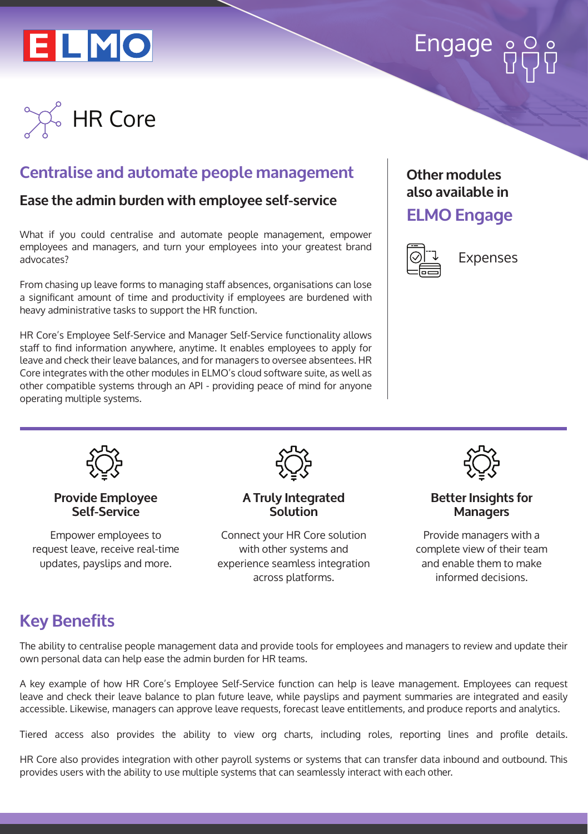# ELMO



# **Centralise and automate people management**

## **Ease the admin burden with employee self-service**

What if you could centralise and automate people management, empower employees and managers, and turn your employees into your greatest brand advocates?

From chasing up leave forms to managing staff absences, organisations can lose a significant amount of time and productivity if employees are burdened with heavy administrative tasks to support the HR function.

HR Core's Employee Self-Service and Manager Self-Service functionality allows staff to find information anywhere, anytime. It enables employees to apply for leave and check their leave balances, and for managers to oversee absentees. HR Core integrates with the other modules in ELMO's cloud software suite, as well as other compatible systems through an API - providing peace of mind for anyone operating multiple systems.

### **Other modules also available in**

# **ELMO Engage**



Expenses



#### **Provide Employee Self-Service**

Empower employees to request leave, receive real-time updates, payslips and more.



**A Truly Integrated Solution**

Connect your HR Core solution with other systems and experience seamless integration across platforms.



#### **Better Insights for Managers**

Provide managers with a complete view of their team and enable them to make informed decisions.

# **Key Benefits**

The ability to centralise people management data and provide tools for employees and managers to review and update their own personal data can help ease the admin burden for HR teams.

A key example of how HR Core's Employee Self-Service function can help is leave management. Employees can request leave and check their leave balance to plan future leave, while payslips and payment summaries are integrated and easily accessible. Likewise, managers can approve leave requests, forecast leave entitlements, and produce reports and analytics.

Tiered access also provides the ability to view org charts, including roles, reporting lines and profile details.

HR Core also provides integration with other payroll systems or systems that can transfer data inbound and outbound. This provides users with the ability to use multiple systems that can seamlessly interact with each other.